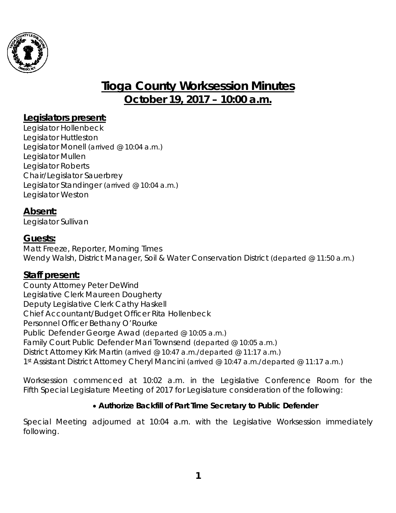

# **Tioga County Worksession Minutes October 19, 2017 – 10:00 a.m.**

## **Legislators present:**

Legislator Hollenbeck Legislator Huttleston Legislator Monell *(arrived @ 10:04 a.m.)* Legislator Mullen Legislator Roberts Chair/Legislator Sauerbrey Legislator Standinger *(arrived @ 10:04 a.m.)* Legislator Weston

#### **Absent:**

Legislator Sullivan

#### **Guests:**

Matt Freeze, Reporter, Morning Times Wendy Walsh, District Manager, Soil & Water Conservation District *(departed @ 11:50 a.m.)*

#### **Staff present:**

County Attorney Peter DeWind Legislative Clerk Maureen Dougherty Deputy Legislative Clerk Cathy Haskell Chief Accountant/Budget Officer Rita Hollenbeck Personnel Officer Bethany O'Rourke Public Defender George Awad *(departed @ 10:05 a.m.)* Family Court Public Defender Mari Townsend *(departed @ 10:05 a.m.)* District Attorney Kirk Martin *(arrived @ 10:47 a.m./departed @ 11:17 a.m.)* 1st Assistant District Attorney Cheryl Mancini *(arrived @ 10:47 a.m./departed @ 11:17 a.m.)*

*Worksession commenced at 10:02 a.m. in the Legislative Conference Room for the Fifth Special Legislature Meeting of 2017 for Legislature consideration of the following:* 

#### • *Authorize Backfill of Part Time Secretary to Public Defender*

*Special Meeting adjourned at 10:04 a.m. with the Legislative Worksession immediately following.*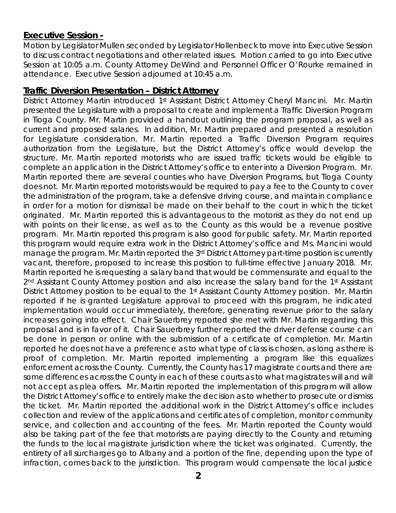#### **Executive Session -**

Motion by Legislator Mullen seconded by Legislator Hollenbeck to move into Executive Session to discuss contract negotiations and other related issues. Motion carried to go into Executive Session at 10:05 a.m. County Attorney DeWind and Personnel Officer O'Rourke remained in attendance. Executive Session adjourned at 10:45 a.m.

#### **Traffic Diversion Presentation – District Attorney**

District Attorney Martin introduced 1<sup>st</sup> Assistant District Attorney Cheryl Mancini. Mr. Martin presented the Legislature with a proposal to create and implement a Traffic Diversion Program in Tioga County. Mr. Martin provided a handout outlining the program proposal, as well as current and proposed salaries. In addition, Mr. Martin prepared and presented a resolution for Legislature consideration. Mr. Martin reported a Traffic Diversion Program requires authorization from the Legislature, but the District Attorney's office would develop the structure. Mr. Martin reported motorists who are issued traffic tickets would be eligible to complete an application in the District Attorney's office to enter into a Diversion Program. Mr. Martin reported there are several counties who have Diversion Programs, but Tioga County does not. Mr. Martin reported motorists would be required to pay a fee to the County to cover the administration of the program, take a defensive driving course, and maintain compliance in order for a motion for dismissal be made on their behalf to the court in which the ticket originated. Mr. Martin reported this is advantageous to the motorist as they do not end up with points on their license, as well as to the County as this would be a revenue positive program. Mr. Martin reported this program is also good for public safety. Mr. Martin reported this program would require extra work in the District Attorney's office and Ms. Mancini would manage the program. Mr. Martin reported the 3<sup>rd</sup> District Attorney part-time position is currently vacant, therefore, proposed to increase this position to full-time effective January 2018. Mr. Martin reported he is requesting a salary band that would be commensurate and equal to the 2<sup>nd</sup> Assistant County Attorney position and also increase the salary band for the 1<sup>st</sup> Assistant District Attorney position to be equal to the 1<sup>st</sup> Assistant County Attorney position. Mr. Martin reported if he is granted Legislature approval to proceed with this program, he indicated implementation would occur immediately, therefore, generating revenue prior to the salary increases going into effect. Chair Sauerbrey reported she met with Mr. Martin regarding this proposal and is in favor of it. Chair Sauerbrey further reported the driver defense course can be done in person or online with the submission of a certificate of completion. Mr. Martin reported he does not have a preference as to what type of class is chosen, as long as there is proof of completion. Mr. Martin reported implementing a program like this equalizes enforcement across the County. Currently, the County has 17 magistrate courts and there are some differences across the County in each of these courts as to what magistrates will and will not accept as plea offers. Mr. Martin reported the implementation of this program will allow the District Attorney's office to entirely make the decision as to whether to prosecute or dismiss the ticket. Mr. Martin reported the additional work in the District Attorney's office includes collection and review of the applications and certificates of completion, monitor community service, and collection and accounting of the fees. Mr. Martin reported the County would also be taking part of the fee that motorists are paying directly to the County and returning the funds to the local magistrate jurisdiction where the ticket was originated. Currently, the entirety of all surcharges go to Albany and a portion of the fine, depending upon the type of infraction, comes back to the jurisdiction. This program would compensate the local justice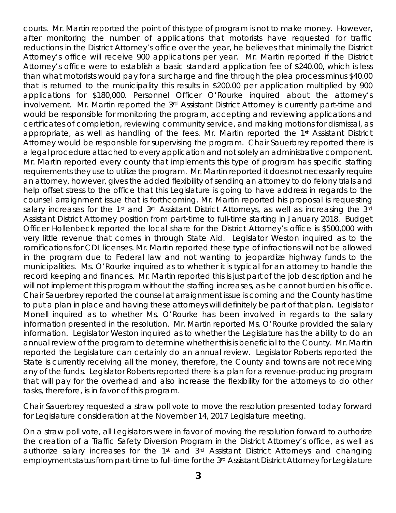courts. Mr. Martin reported the point of this type of program is not to make money. However, after monitoring the number of applications that motorists have requested for traffic reductions in the District Attorney's office over the year, he believes that minimally the District Attorney's office will receive 900 applications per year. Mr. Martin reported if the District Attorney's office were to establish a basic standard application fee of \$240.00, which is less than what motorists would pay for a surcharge and fine through the plea process minus \$40.00 that is returned to the municipality this results in \$200.00 per application multiplied by 900 applications for \$180,000. Personnel Officer O'Rourke inquired about the attorney's involvement. Mr. Martin reported the 3<sup>rd</sup> Assistant District Attorney is currently part-time and would be responsible for monitoring the program, accepting and reviewing applications and certificates of completion, reviewing community service, and making motions for dismissal, as appropriate, as well as handling of the fees. Mr. Martin reported the 1st Assistant District Attorney would be responsible for supervising the program. Chair Sauerbrey reported there is a legal procedure attached to every application and not solely an administrative component. Mr. Martin reported every county that implements this type of program has specific staffing requirements they use to utilize the program. Mr. Martin reported it does not necessarily require an attorney, however, gives the added flexibility of sending an attorney to do felony trials and help offset stress to the office that this Legislature is going to have address in regards to the counsel arraignment issue that is forthcoming. Mr. Martin reported his proposal is requesting salary increases for the 1<sup>st</sup> and 3<sup>rd</sup> Assistant District Attorneys, as well as increasing the 3<sup>rd</sup> Assistant District Attorney position from part-time to full-time starting in January 2018. Budget Officer Hollenbeck reported the local share for the District Attorney's office is \$500,000 with very little revenue that comes in through State Aid. Legislator Weston inquired as to the ramifications for CDL licenses. Mr. Martin reported these type of infractions will not be allowed in the program due to Federal law and not wanting to jeopardize highway funds to the municipalities. Ms. O'Rourke inquired as to whether it is typical for an attorney to handle the record keeping and finances. Mr. Martin reported this is just part of the job description and he will not implement this program without the staffing increases, as he cannot burden his office. Chair Sauerbrey reported the counsel at arraignment issue is coming and the County has time to put a plan in place and having these attorneys will definitely be part of that plan. Legislator Monell inquired as to whether Ms. O'Rourke has been involved in regards to the salary information presented in the resolution. Mr. Martin reported Ms. O'Rourke provided the salary information. Legislator Weston inquired as to whether the Legislature has the ability to do an annual review of the program to determine whether this is beneficial to the County. Mr. Martin reported the Legislature can certainly do an annual review. Legislator Roberts reported the State is currently receiving all the money, therefore, the County and towns are not receiving any of the funds. Legislator Roberts reported there is a plan for a revenue-producing program that will pay for the overhead and also increase the flexibility for the attorneys to do other tasks, therefore, is in favor of this program.

Chair Sauerbrey requested a straw poll vote to move the resolution presented today forward for Legislature consideration at the November 14, 2017 Legislature meeting.

On a straw poll vote, all Legislators were in favor of moving the resolution forward to authorize the creation of a Traffic Safety Diversion Program in the District Attorney's office, as well as authorize salary increases for the 1<sup>st</sup> and 3<sup>rd</sup> Assistant District Attorneys and changing employment status from part-time to full-time for the 3rd Assistant District Attorney for Legislature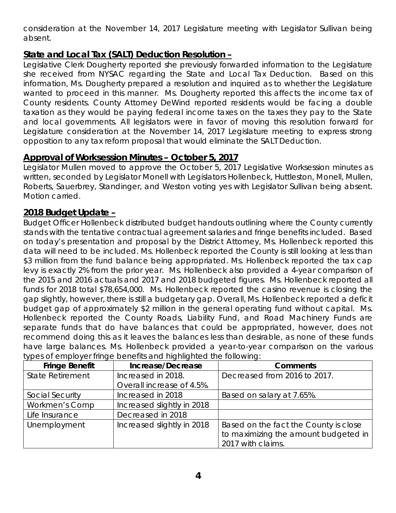consideration at the November 14, 2017 Legislature meeting with Legislator Sullivan being absent.

## **State and Local Tax (SALT) Deduction Resolution –**

Legislative Clerk Dougherty reported she previously forwarded information to the Legislature she received from NYSAC regarding the State and Local Tax Deduction. Based on this information, Ms. Dougherty prepared a resolution and inquired as to whether the Legislature wanted to proceed in this manner. Ms. Dougherty reported this affects the income tax of County residents. County Attorney DeWind reported residents would be facing a double taxation as they would be paying federal income taxes on the taxes they pay to the State and local governments. All legislators were in favor of moving this resolution forward for Legislature consideration at the November 14, 2017 Legislature meeting to express strong opposition to any tax reform proposal that would eliminate the SALT Deduction.

# **Approval of Worksession Minutes – October 5, 2017**

Legislator Mullen moved to approve the October 5, 2017 Legislative Worksession minutes as written, seconded by Legislator Monell with Legislators Hollenbeck, Huttleston, Monell, Mullen, Roberts, Sauerbrey, Standinger, and Weston voting yes with Legislator Sullivan being absent. Motion carried.

## **2018 Budget Update –**

Budget Officer Hollenbeck distributed budget handouts outlining where the County currently stands with the tentative contractual agreement salaries and fringe benefits included. Based on today's presentation and proposal by the District Attorney, Ms. Hollenbeck reported this data will need to be included. Ms. Hollenbeck reported the County is still looking at less than \$3 million from the fund balance being appropriated. Ms. Hollenbeck reported the tax cap levy is exactly 2% from the prior year. Ms. Hollenbeck also provided a 4-year comparison of the 2015 and 2016 actuals and 2017 and 2018 budgeted figures. Ms. Hollenbeck reported all funds for 2018 total \$78,654,000. Ms. Hollenbeck reported the casino revenue is closing the gap slightly, however, there is still a budgetary gap. Overall, Ms. Hollenbeck reported a deficit budget gap of approximately \$2 million in the general operating fund without capital. Ms. Hollenbeck reported the County Roads, Liability Fund, and Road Machinery Funds are separate funds that do have balances that could be appropriated, however, does not recommend doing this as it leaves the balances less than desirable, as none of these funds have large balances. Ms. Hollenbeck provided a year-to-year comparison on the various types of employer fringe benefits and highlighted the following:

| <b>Fringe Benefit</b>   | Increase/Decrease          | <b>Comments</b>                       |
|-------------------------|----------------------------|---------------------------------------|
| <b>State Retirement</b> | Increased in 2018.         | Decreased from 2016 to 2017.          |
|                         | Overall increase of 4.5%.  |                                       |
| Social Security         | Increased in 2018          | Based on salary at 7.65%.             |
| Workmen's Comp          | Increased slightly in 2018 |                                       |
| Life Insurance          | Decreased in 2018          |                                       |
| Unemployment            | Increased slightly in 2018 | Based on the fact the County is close |
|                         |                            | to maximizing the amount budgeted in  |
|                         |                            | 2017 with claims.                     |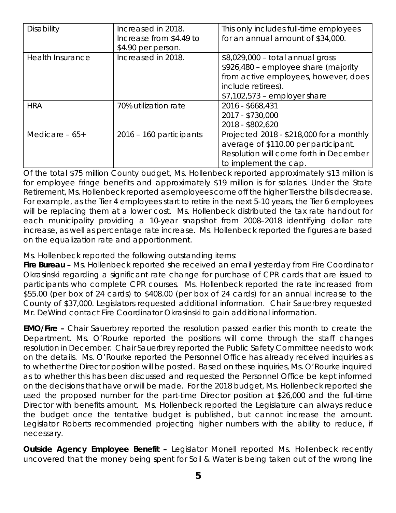| Disability              | Increased in 2018.<br>Increase from \$4.49 to<br>\$4.90 per person. | This only includes full-time employees<br>for an annual amount of \$34,000.                                                                                             |
|-------------------------|---------------------------------------------------------------------|-------------------------------------------------------------------------------------------------------------------------------------------------------------------------|
| <b>Health Insurance</b> | Increased in 2018.                                                  | \$8,029,000 - total annual gross<br>\$926,480 - employee share (majority<br>from active employees, however, does<br>include retirees).<br>$$7,102,573$ – employer share |
| <b>HRA</b>              | 70% utilization rate                                                | 2016 - \$668,431<br>2017 - \$730,000<br>2018 - \$802,620                                                                                                                |
| Medicare $-65+$         | $2016 - 160$ participants                                           | Projected 2018 - \$218,000 for a monthly<br>average of \$110.00 per participant.<br>Resolution will come forth in December<br>to implement the cap.                     |

Of the total \$75 million County budget, Ms. Hollenbeck reported approximately \$13 million is for employee fringe benefits and approximately \$19 million is for salaries. Under the State Retirement, Ms. Hollenbeck reported as employees come off the higher Tiers the bills decrease. For example, as the Tier 4 employees start to retire in the next 5-10 years, the Tier 6 employees will be replacing them at a lower cost. Ms. Hollenbeck distributed the tax rate handout for each municipality providing a 10-year snapshot from 2008–2018 identifying dollar rate increase, as well as percentage rate increase. Ms. Hollenbeck reported the figures are based on the equalization rate and apportionment.

Ms. Hollenbeck reported the following outstanding items:

*Fire Bureau –* Ms. Hollenbeck reported she received an email yesterday from Fire Coordinator Okrasinski regarding a significant rate change for purchase of CPR cards that are issued to participants who complete CPR courses. Ms. Hollenbeck reported the rate increased from \$55.00 (per box of 24 cards) to \$408.00 (per box of 24 cards) for an annual increase to the County of \$37,000. Legislators requested additional information. Chair Sauerbrey requested Mr. DeWind contact Fire Coordinator Okrasinski to gain additional information.

*EMO/Fire –* Chair Sauerbrey reported the resolution passed earlier this month to create the Department. Ms. O'Rourke reported the positions will come through the staff changes resolution in December. Chair Sauerbrey reported the Public Safety Committee needs to work on the details. Ms. O'Rourke reported the Personnel Office has already received inquiries as to whether the Director position will be posted. Based on these inquiries, Ms. O'Rourke inquired as to whether this has been discussed and requested the Personnel Office be kept informed on the decisions that have or will be made. For the 2018 budget, Ms. Hollenbeck reported she used the proposed number for the part-time Director position at \$26,000 and the full-time Director with benefits amount. Ms. Hollenbeck reported the Legislature can always reduce the budget once the tentative budget is published, but cannot increase the amount. Legislator Roberts recommended projecting higher numbers with the ability to reduce, if necessary.

**Outside Agency Employee Benefit -** Legislator Monell reported Ms. Hollenbeck recently uncovered that the money being spent for Soil & Water is being taken out of the wrong line